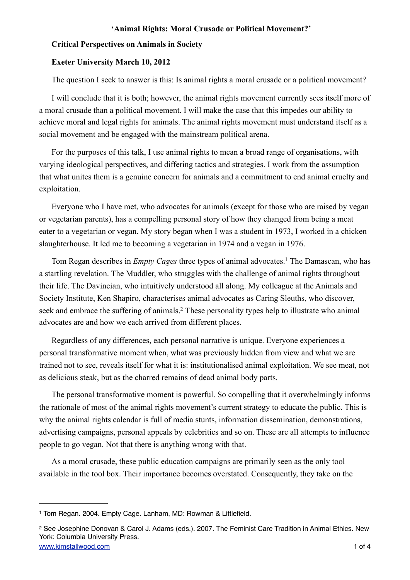#### **Critical Perspectives on Animals in Society**

# **Exeter University March 10, 2012**

The question I seek to answer is this: Is animal rights a moral crusade or a political movement?

I will conclude that it is both; however, the animal rights movement currently sees itself more of a moral crusade than a political movement. I will make the case that this impedes our ability to achieve moral and legal rights for animals. The animal rights movement must understand itself as a social movement and be engaged with the mainstream political arena.

For the purposes of this talk, I use animal rights to mean a broad range of organisations, with varying ideological perspectives, and differing tactics and strategies. I work from the assumption that what unites them is a genuine concern for animals and a commitment to end animal cruelty and exploitation.

Everyone who I have met, who advocates for animals (except for those who are raised by vegan or vegetarian parents), has a compelling personal story of how they changed from being a meat eater to a vegetarian or vegan. My story began when I was a student in 1973, I worked in a chicken slaughterhouse. It led me to becoming a vegetarian in 1974 and a vegan in 1976.

Tom Regan describes in *Empty Cages* three types of animal advocates[.1](#page-0-0) The Damascan, who has a startling revelation. The Muddler, who struggles with the challenge of animal rights throughout their life. The Davincian, who intuitively understood all along. My colleague at the Animals and Society Institute, Ken Shapiro, characterises animal advocates as Caring Sleuths, who discover, seek and embrace the suffering of animals.<sup>2</sup> These personality types help to illustrate who animal advocates are and how we each arrived from different places.

Regardless of any differences, each personal narrative is unique. Everyone experiences a personal transformative moment when, what was previously hidden from view and what we are trained not to see, reveals itself for what it is: institutionalised animal exploitation. We see meat, not as delicious steak, but as the charred remains of dead animal body parts.

The personal transformative moment is powerful. So compelling that it overwhelmingly informs the rationale of most of the animal rights movement's current strategy to educate the public. This is why the animal rights calendar is full of media stunts, information dissemination, demonstrations, advertising campaigns, personal appeals by celebrities and so on. These are all attempts to influence people to go vegan. Not that there is anything wrong with that.

As a moral crusade, these public education campaigns are primarily seen as the only tool available in the tool box. Their importance becomes overstated. Consequently, they take on the

<span id="page-0-0"></span><sup>1</sup> Tom Regan. 2004. Empty Cage. Lanham, MD: Rowman & Littlefield.

<span id="page-0-1"></span>[www.kimstallwood.com](http://www.kimstallwood.com) 1 of 4 2 See Josephine Donovan & Carol J. Adams (eds.). 2007. The Feminist Care Tradition in Animal Ethics. New York: Columbia University Press.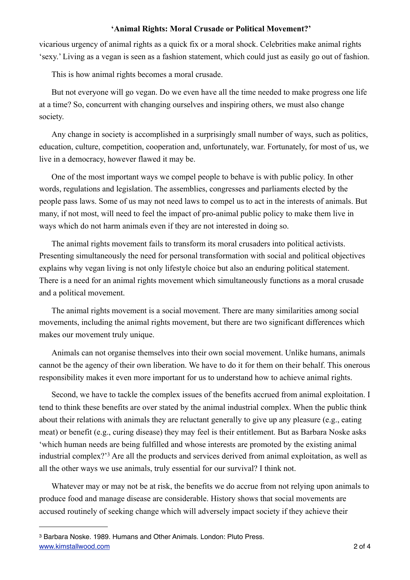vicarious urgency of animal rights as a quick fix or a moral shock. Celebrities make animal rights 'sexy.' Living as a vegan is seen as a fashion statement, which could just as easily go out of fashion.

This is how animal rights becomes a moral crusade.

But not everyone will go vegan. Do we even have all the time needed to make progress one life at a time? So, concurrent with changing ourselves and inspiring others, we must also change society.

Any change in society is accomplished in a surprisingly small number of ways, such as politics, education, culture, competition, cooperation and, unfortunately, war. Fortunately, for most of us, we live in a democracy, however flawed it may be.

One of the most important ways we compel people to behave is with public policy. In other words, regulations and legislation. The assemblies, congresses and parliaments elected by the people pass laws. Some of us may not need laws to compel us to act in the interests of animals. But many, if not most, will need to feel the impact of pro-animal public policy to make them live in ways which do not harm animals even if they are not interested in doing so.

The animal rights movement fails to transform its moral crusaders into political activists. Presenting simultaneously the need for personal transformation with social and political objectives explains why vegan living is not only lifestyle choice but also an enduring political statement. There is a need for an animal rights movement which simultaneously functions as a moral crusade and a political movement.

The animal rights movement is a social movement. There are many similarities among social movements, including the animal rights movement, but there are two significant differences which makes our movement truly unique.

Animals can not organise themselves into their own social movement. Unlike humans, animals cannot be the agency of their own liberation. We have to do it for them on their behalf. This onerous responsibility makes it even more important for us to understand how to achieve animal rights.

Second, we have to tackle the complex issues of the benefits accrued from animal exploitation. I tend to think these benefits are over stated by the animal industrial complex. When the public think about their relations with animals they are reluctant generally to give up any pleasure (e.g., eating meat) or benefit (e.g., curing disease) they may feel is their entitlement. But as Barbara Noske asks 'which human needs are being fulfilled and whose interests are promoted by the existing animal industrial complex?'[3](#page-1-0) Are all the products and services derived from animal exploitation, as well as all the other ways we use animals, truly essential for our survival? I think not.

Whatever may or may not be at risk, the benefits we do accrue from not relying upon animals to produce food and manage disease are considerable. History shows that social movements are accused routinely of seeking change which will adversely impact society if they achieve their

<span id="page-1-0"></span>[www.kimstallwood.com](http://www.kimstallwood.com) 2 of 4 3 Barbara Noske. 1989. Humans and Other Animals. London: Pluto Press.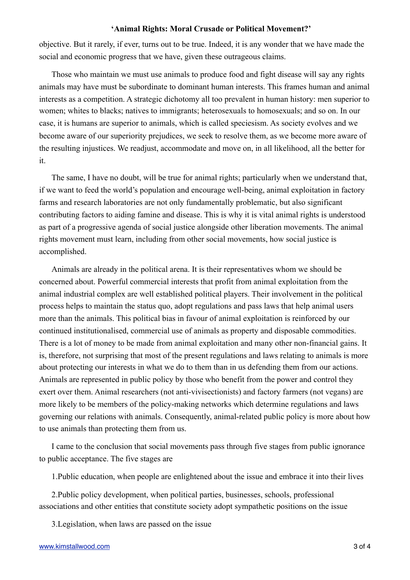objective. But it rarely, if ever, turns out to be true. Indeed, it is any wonder that we have made the social and economic progress that we have, given these outrageous claims.

Those who maintain we must use animals to produce food and fight disease will say any rights animals may have must be subordinate to dominant human interests. This frames human and animal interests as a competition. A strategic dichotomy all too prevalent in human history: men superior to women; whites to blacks; natives to immigrants; heterosexuals to homosexuals; and so on. In our case, it is humans are superior to animals, which is called speciesism. As society evolves and we become aware of our superiority prejudices, we seek to resolve them, as we become more aware of the resulting injustices. We readjust, accommodate and move on, in all likelihood, all the better for it.

The same, I have no doubt, will be true for animal rights; particularly when we understand that, if we want to feed the world's population and encourage well-being, animal exploitation in factory farms and research laboratories are not only fundamentally problematic, but also significant contributing factors to aiding famine and disease. This is why it is vital animal rights is understood as part of a progressive agenda of social justice alongside other liberation movements. The animal rights movement must learn, including from other social movements, how social justice is accomplished.

Animals are already in the political arena. It is their representatives whom we should be concerned about. Powerful commercial interests that profit from animal exploitation from the animal industrial complex are well established political players. Their involvement in the political process helps to maintain the status quo, adopt regulations and pass laws that help animal users more than the animals. This political bias in favour of animal exploitation is reinforced by our continued institutionalised, commercial use of animals as property and disposable commodities. There is a lot of money to be made from animal exploitation and many other non-financial gains. It is, therefore, not surprising that most of the present regulations and laws relating to animals is more about protecting our interests in what we do to them than in us defending them from our actions. Animals are represented in public policy by those who benefit from the power and control they exert over them. Animal researchers (not anti-vivisectionists) and factory farmers (not vegans) are more likely to be members of the policy-making networks which determine regulations and laws governing our relations with animals. Consequently, animal-related public policy is more about how to use animals than protecting them from us.

I came to the conclusion that social movements pass through five stages from public ignorance to public acceptance. The five stages are

1.Public education, when people are enlightened about the issue and embrace it into their lives

2.Public policy development, when political parties, businesses, schools, professional associations and other entities that constitute society adopt sympathetic positions on the issue

3.Legislation, when laws are passed on the issue